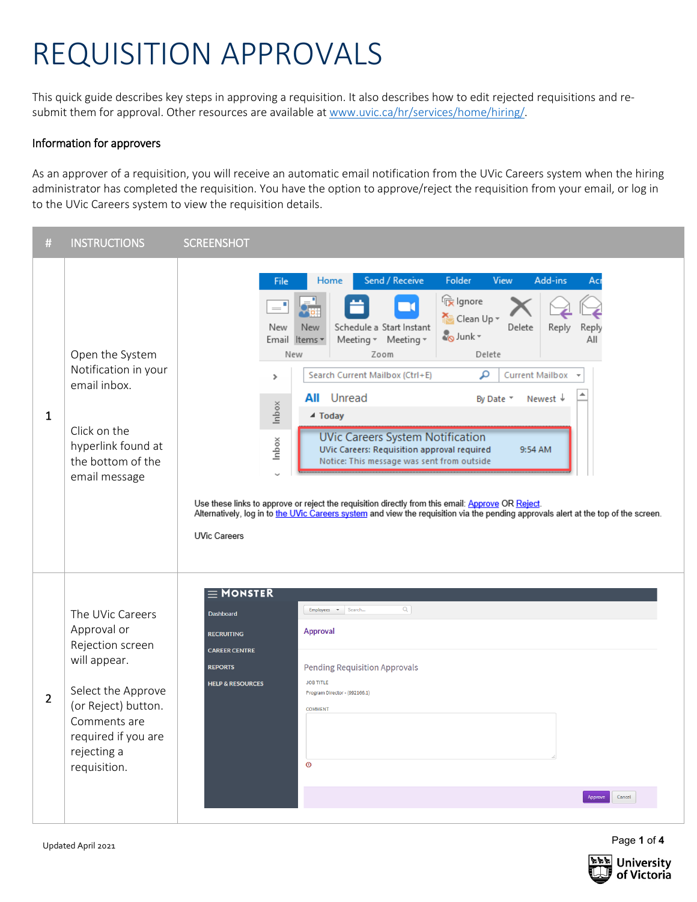## REQUISITION APPROVALS

This quick guide describes key steps in approving a requisition. It also describes how to edit rejected requisitions and resubmit them for approval. Other resources are available a[t www.uvic.ca/hr/services/home/hiring/.](http://www.uvic.ca/hr/services/home/hiring/)

## Information for approvers

As an approver of a requisition, you will receive an automatic email notification from the UVic Careers system when the hiring administrator has completed the requisition. You have the option to approve/reject the requisition from your email, or log in to the UVic Careers system to view the requisition details.

| #              | <b>INSTRUCTIONS</b>                                                                                                                                                                    | <b>SCREENSHOT</b>                                                                                                                                                                                                                                                                                                                                                                                                                                                                                                                                                                                                                                                                                                                                                                                                                                                            |
|----------------|----------------------------------------------------------------------------------------------------------------------------------------------------------------------------------------|------------------------------------------------------------------------------------------------------------------------------------------------------------------------------------------------------------------------------------------------------------------------------------------------------------------------------------------------------------------------------------------------------------------------------------------------------------------------------------------------------------------------------------------------------------------------------------------------------------------------------------------------------------------------------------------------------------------------------------------------------------------------------------------------------------------------------------------------------------------------------|
| $\mathbf{1}$   | Open the System<br>Notification in your<br>email inbox.<br>Click on the<br>hyperlink found at<br>the bottom of the<br>email message                                                    | Folder<br>Send / Receive<br><b>View</b><br>Add-ins<br>Home<br>Acr<br>File<br>re Ignore<br>$=$ <sup>1</sup><br>Clean Up -<br>Delete<br>Schedule a Start Instant<br>New<br>New<br>Reply<br>Reply<br>og Junk -<br>Meeting * Meeting *<br>Email Items *<br>All<br>Delete<br>New<br>Zoom<br>Search Current Mailbox (Ctrl+E)<br>م<br><b>Current Mailbox</b><br>$\mathcal{P}$<br>∸<br><b>All</b> Unread<br>Newest +<br>By Date *<br>Inbox<br>▲ Today<br><b>UVic Careers System Notification</b><br>Inbox<br>UVic Careers: Requisition approval required<br>9:54 AM<br>Notice: This message was sent from outside<br>Use these links to approve or reject the requisition directly from this email: Approve OR Reject.<br>Alternatively, log in to the UVic Careers system and view the requisition via the pending approvals alert at the top of the screen.<br><b>UVic Careers</b> |
| $\overline{2}$ | The UVic Careers<br>Approval or<br>Rejection screen<br>will appear.<br>Select the Approve<br>(or Reject) button.<br>Comments are<br>required if you are<br>rejecting a<br>requisition. | $\equiv$ MONSTER<br>$\alpha$<br>Employees v Search<br>Dashboard<br><b>Approval</b><br><b>RECRUITING</b><br><b>CAREER CENTRE</b><br><b>Pending Requisition Approvals</b><br><b>REPORTS</b><br><b>JOB TITLE</b><br><b>HELP &amp; RESOURCES</b><br>Program Director - (992166.1)<br><b>COMMENT</b><br>$\odot$                                                                                                                                                                                                                                                                                                                                                                                                                                                                                                                                                                   |

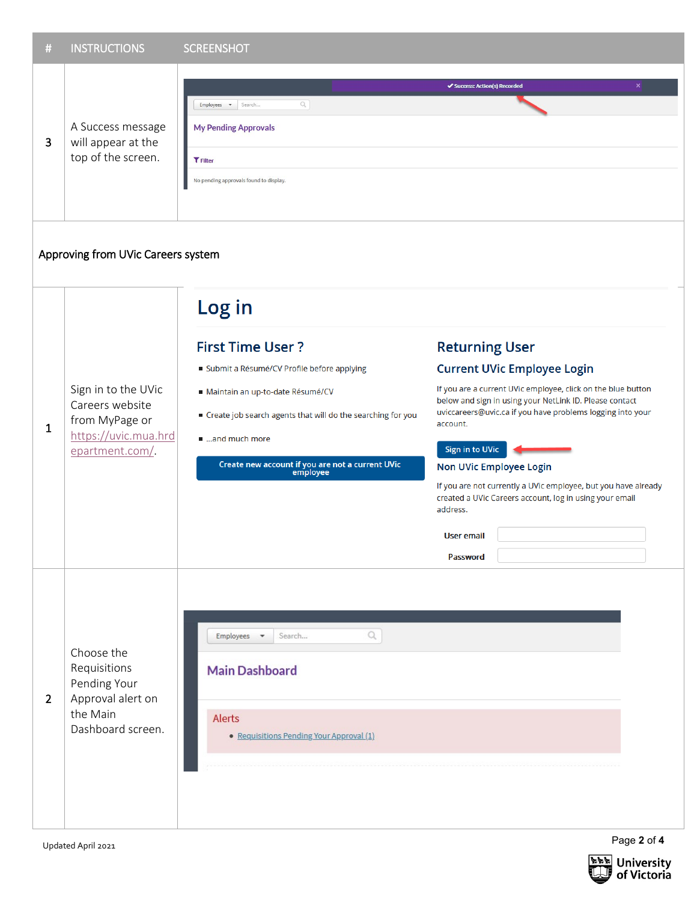| #              | <b>INSTRUCTIONS</b>                                                                                 | <b>SCREENSHOT</b>                                                                                                                                                                                                                                                                                                                                                                                                                                                                                                                                                                                                                                                                                                                                                             |  |  |  |  |  |
|----------------|-----------------------------------------------------------------------------------------------------|-------------------------------------------------------------------------------------------------------------------------------------------------------------------------------------------------------------------------------------------------------------------------------------------------------------------------------------------------------------------------------------------------------------------------------------------------------------------------------------------------------------------------------------------------------------------------------------------------------------------------------------------------------------------------------------------------------------------------------------------------------------------------------|--|--|--|--|--|
| 3              | A Success message<br>will appear at the<br>top of the screen.                                       | ×<br>✔ Success: Action(s) Recorded<br>$\alpha$<br>Search<br>Employees $\bullet$<br><b>My Pending Approvals</b><br><b>T</b> Filter<br>No pending approvals found to display.                                                                                                                                                                                                                                                                                                                                                                                                                                                                                                                                                                                                   |  |  |  |  |  |
|                | Approving from UVic Careers system                                                                  |                                                                                                                                                                                                                                                                                                                                                                                                                                                                                                                                                                                                                                                                                                                                                                               |  |  |  |  |  |
| $\mathbf{1}$   | Sign in to the UVic<br>Careers website<br>from MyPage or<br>https://uvic.mua.hrd<br>epartment.com/. | Log in<br><b>First Time User?</b><br><b>Returning User</b><br><b>Current UVic Employee Login</b><br>Submit a Résumé/CV Profile before applying<br>If you are a current UVic employee, click on the blue button<br>Maintain an up-to-date Résumé/CV<br>below and sign in using your NetLink ID. Please contact<br>uviccareers@uvic.ca if you have problems logging into your<br>Create job search agents that will do the searching for you<br>account.<br>and much more<br><b>Sign in to UVic</b><br>Create new account if you are not a current UVic<br>Non UVic Employee Login<br>employee<br>If you are not currently a UVic employee, but you have already<br>created a UVic Careers account, log in using your email<br>address.<br><b>User email</b><br><b>Password</b> |  |  |  |  |  |
| $\overline{2}$ | Choose the<br>Requisitions<br>Pending Your<br>Approval alert on<br>the Main<br>Dashboard screen.    | $\hbox{\scriptsize\it\alpha}$<br>Employees <b>v</b><br>Search<br><b>Main Dashboard</b><br><b>Alerts</b><br>• Requisitions Pending Your Approval (1)                                                                                                                                                                                                                                                                                                                                                                                                                                                                                                                                                                                                                           |  |  |  |  |  |

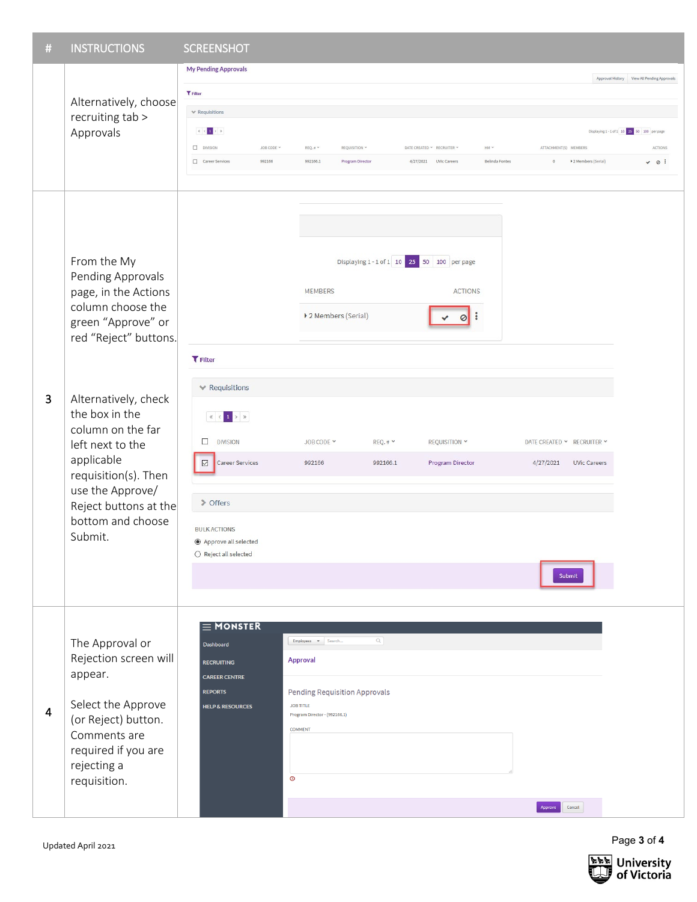| #              | <b>INSTRUCTIONS</b>                                                                                                                                                                                                                                                                                                                | <b>SCREENSHOT</b>                                                                                                                                                                           |                                                                                                                                                              |                                                                                                                |                             |                                                                          |                                                                                                                   |
|----------------|------------------------------------------------------------------------------------------------------------------------------------------------------------------------------------------------------------------------------------------------------------------------------------------------------------------------------------|---------------------------------------------------------------------------------------------------------------------------------------------------------------------------------------------|--------------------------------------------------------------------------------------------------------------------------------------------------------------|----------------------------------------------------------------------------------------------------------------|-----------------------------|--------------------------------------------------------------------------|-------------------------------------------------------------------------------------------------------------------|
|                | Alternatively, choose<br>recruiting tab ><br>Approvals                                                                                                                                                                                                                                                                             | <b>My Pending Approvals</b><br>T Filter<br>$\times$ Requisitions<br>$\ <\ <\ 1\ >\ >$<br>$\Box$ DIVISION<br>JOB CODE $\sim$<br>Career Services<br>992166                                    | REQ. # Y<br>REQUISITION Y<br>992166.1<br>Program Director                                                                                                    | DATE CREATED * RECRUITER *<br>4/27/2021 UVic Careers                                                           | $HM \sim$<br>Belinda Fontes | ATTACHMENT(S) MEMBERS<br>> 2 Members (Serial)<br>$\overline{0}$          | Approval History View All Pending Approvals<br>Displaying 1-1 of 1 10 25 50 100 per page<br>ACTIONS<br>$\vee$ 0 : |
| 3              | From the My<br>Pending Approvals<br>page, in the Actions<br>column choose the<br>green "Approve" or<br>red "Reject" buttons.<br>Alternatively, check<br>the box in the<br>column on the far<br>left next to the<br>applicable<br>requisition(s). Then<br>use the Approve/<br>Reject buttons at the<br>bottom and choose<br>Submit. | <b>T</b> Filter<br>$\blacktriangleright$ Requisitions<br>□<br><b>DIVISION</b><br>Career Services<br>☑<br>> Offers<br><b>BULK ACTIONS</b><br>Approve all selected<br>$O$ Reject all selected | <b>MEMBERS</b><br>▶ 2 Members (Serial)<br>JOB CODE Y<br>992166                                                                                               | Displaying 1 - 1 of 1 10 25 50 100 per page<br>REQ.# Y<br>REQUISITION Y<br>992166.1<br><b>Program Director</b> | <b>ACTIONS</b>              | DATE CREATED Y RECRUITER Y<br>4/27/2021<br><b>UVic Careers</b><br>Submit |                                                                                                                   |
| $\overline{4}$ | The Approval or<br>Rejection screen will<br>appear.<br>Select the Approve<br>(or Reject) button.<br>Comments are<br>required if you are<br>rejecting a<br>requisition.                                                                                                                                                             | $\equiv$ MONSTER<br>Dashboard<br><b>RECRUITING</b><br><b>CAREER CENTRE</b><br><b>REPORTS</b><br><b>HELP &amp; RESOURCES</b><br>$\circledcirc$                                               | Employees $\bullet$ Search<br><b>Approval</b><br><b>Pending Requisition Approvals</b><br><b>JOB TITLE</b><br>Program Director - (992166.1)<br><b>COMMENT</b> | Q                                                                                                              |                             | Approve<br>Cancel                                                        |                                                                                                                   |